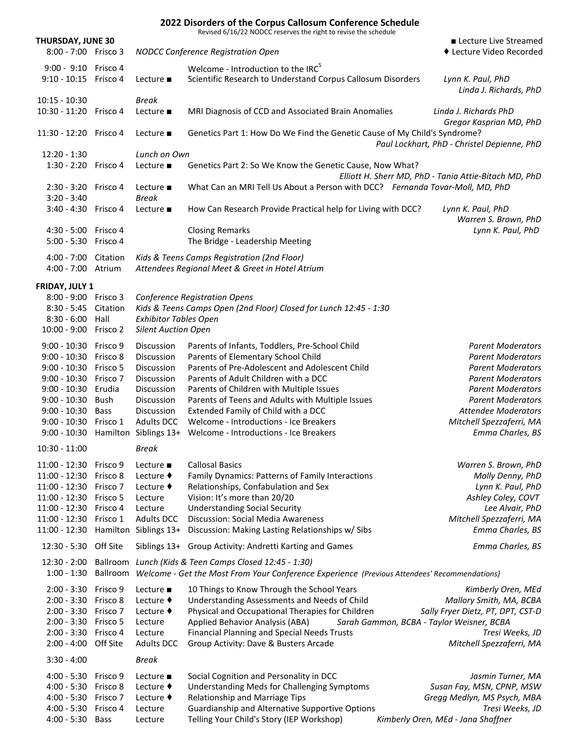|                                    |                      |                                        | 2022 Disorders of the Corpus Callosum Conference Schedule<br>Revised 6/16/22 NODCC reserves the right to revise the schedule       |                                                       |
|------------------------------------|----------------------|----------------------------------------|------------------------------------------------------------------------------------------------------------------------------------|-------------------------------------------------------|
| <b>THURSDAY, JUNE 30</b>           |                      |                                        |                                                                                                                                    | ■ Lecture Live Streamed                               |
| 8:00 - 7:00 Frisco 3               |                      |                                        | NODCC Conference Registration Open                                                                                                 | ◆ Lecture Video Recorded                              |
| 9:00 - 9:10 Frisco 4               |                      |                                        | Welcome - Introduction to the IRC <sup>5</sup>                                                                                     |                                                       |
| $9:10 - 10:15$                     | Frisco 4             | Lecture $\blacksquare$                 | Scientific Research to Understand Corpus Callosum Disorders                                                                        | Lynn K. Paul, PhD<br>Linda J. Richards, PhD           |
| $10:15 - 10:30$                    |                      | <b>Break</b>                           |                                                                                                                                    |                                                       |
| $10:30 - 11:20$                    | Frisco 4             | Lecture $\blacksquare$                 | MRI Diagnosis of CCD and Associated Brain Anomalies                                                                                | Linda J. Richards PhD<br>Gregor Kasprian MD, PhD      |
| $11:30 - 12:20$                    | Frisco 4             | Lecture $\blacksquare$                 | Genetics Part 1: How Do We Find the Genetic Cause of My Child's Syndrome?                                                          | Paul Lockhart, PhD - Christel Depienne, PhD           |
| $12:20 - 1:30$                     |                      | Lunch on Own                           |                                                                                                                                    |                                                       |
| 1:30 - 2:20 Frisco 4               |                      | Lecture $\blacksquare$                 | Genetics Part 2: So We Know the Genetic Cause, Now What?                                                                           | Elliott H. Sherr MD, PhD - Tania Attie-Bitach MD, PhD |
| $2:30 - 3:20$                      | Frisco 4             | Lecture $\blacksquare$                 | What Can an MRI Tell Us About a Person with DCC? Fernanda Tovar-Moll, MD, PhD                                                      |                                                       |
| $3:20 - 3:40$<br>$3:40 - 4:30$     | Frisco 4             | <b>Break</b><br>Lecture $\blacksquare$ |                                                                                                                                    |                                                       |
|                                    |                      |                                        | How Can Research Provide Practical help for Living with DCC?                                                                       | Lynn K. Paul, PhD<br>Warren S. Brown, PhD             |
| 4:30 - 5:00 Frisco 4               |                      |                                        | <b>Closing Remarks</b>                                                                                                             | Lynn K. Paul, PhD                                     |
| $5:00 - 5:30$                      | Frisco 4             |                                        | The Bridge - Leadership Meeting                                                                                                    |                                                       |
| $4:00 - 7:00$                      | Citation             |                                        | Kids & Teens Camps Registration (2nd Floor)                                                                                        |                                                       |
| $4:00 - 7:00$                      | Atrium               |                                        | Attendees Regional Meet & Greet in Hotel Atrium                                                                                    |                                                       |
| FRIDAY, JULY 1                     |                      |                                        |                                                                                                                                    |                                                       |
| 8:00 - 9:00 Frisco 3               |                      |                                        | <b>Conference Registration Opens</b>                                                                                               |                                                       |
| $8:30 - 5:45$                      | Citation             |                                        | Kids & Teens Camps Open (2nd Floor) Closed for Lunch 12:45 - 1:30                                                                  |                                                       |
| $8:30 - 6:00$                      | Hall                 | <b>Exhibitor Tables Open</b>           |                                                                                                                                    |                                                       |
| $10:00 - 9:00$                     | Frisco 2             | <b>Silent Auction Open</b>             |                                                                                                                                    |                                                       |
| $9:00 - 10:30$                     | Frisco 9             | Discussion                             | Parents of Infants, Toddlers, Pre-School Child                                                                                     | <b>Parent Moderators</b>                              |
| $9:00 - 10:30$                     | Frisco 8             | Discussion                             | Parents of Elementary School Child                                                                                                 | <b>Parent Moderators</b>                              |
| $9:00 - 10:30$<br>$9:00 - 10:30$   | Frisco 5<br>Frisco 7 | Discussion<br>Discussion               | Parents of Pre-Adolescent and Adolescent Child<br>Parents of Adult Children with a DCC                                             | <b>Parent Moderators</b><br><b>Parent Moderators</b>  |
| $9:00 - 10:30$                     | Erudia               | Discussion                             | Parents of Children with Multiple Issues                                                                                           | <b>Parent Moderators</b>                              |
| $9:00 - 10:30$                     | Bush                 | Discussion                             | Parents of Teens and Adults with Multiple Issues                                                                                   | <b>Parent Moderators</b>                              |
| $9:00 - 10:30$                     | <b>Bass</b>          | <b>Discussion</b>                      | Extended Family of Child with a DCC                                                                                                | <b>Attendee Moderators</b>                            |
| $9:00 - 10:30$                     | Frisco 1             | <b>Adults DCC</b>                      | Welcome - Introductions - Ice Breakers                                                                                             | Mitchell Spezzaferri, MA                              |
| $9:00 - 10:30$                     |                      | Hamilton Siblings 13+                  | Welcome - Introductions - Ice Breakers                                                                                             | Emma Charles, BS                                      |
| $10:30 - 11:00$                    |                      | <b>Break</b>                           |                                                                                                                                    |                                                       |
| $11:00 - 12:30$                    | Frisco 9             | Lecture $\blacksquare$                 | <b>Callosal Basics</b>                                                                                                             | Warren S. Brown, PhD                                  |
| $11:00 - 12:30$                    | Frisco 8             | Lecture ♦                              | Family Dynamics: Patterns of Family Interactions                                                                                   | Molly Denny, PhD                                      |
| $11:00 - 12:30$                    | Frisco 7             | Lecture ♦                              | Relationships, Confabulation and Sex                                                                                               | Lynn K. Paul, PhD                                     |
| $11:00 - 12:30$                    | Frisco 5             | Lecture                                | Vision: It's more than 20/20                                                                                                       | Ashley Coley, COVT                                    |
| $11:00 - 12:30$<br>$11:00 - 12:30$ | Frisco 4<br>Frisco 1 | Lecture<br><b>Adults DCC</b>           | <b>Understanding Social Security</b><br><b>Discussion: Social Media Awareness</b>                                                  | Lee Alvair, PhD<br>Mitchell Spezzaferri, MA           |
| 11:00 - 12:30                      |                      | Hamilton Siblings 13+                  | Discussion: Making Lasting Relationships w/ Sibs                                                                                   | Emma Charles, BS                                      |
| $12:30 - 5:30$                     | Off Site             |                                        | Siblings 13+ Group Activity: Andretti Karting and Games                                                                            | Emma Charles, BS                                      |
| $12:30 - 2:00$                     | Ballroom             |                                        | Lunch (Kids & Teen Camps Closed 12:45 - 1:30)                                                                                      |                                                       |
| $1:00 - 1:30$                      | Ballroom             |                                        | Welcome - Get the Most From Your Conference Experience (Previous Attendees' Recommendations)                                       |                                                       |
| $2:00 - 3:30$                      | Frisco 9             | Lecture $\blacksquare$                 | 10 Things to Know Through the School Years                                                                                         | Kimberly Oren, MEd                                    |
| $2:00 - 3:30$                      | Frisco 8             | Lecture $\blacklozenge$                | Understanding Assessments and Needs of Child                                                                                       | Mallory Smith, MA, BCBA                               |
| $2:00 - 3:30$                      | Frisco 7             | Lecture $\blacklozenge$                | Physical and Occupational Therapies for Children                                                                                   | Sally Fryer Dietz, PT, DPT, CST-D                     |
| $2:00 - 3:30$<br>$2:00 - 3:30$     | Frisco 5<br>Frisco 4 | Lecture<br>Lecture                     | Applied Behavior Analysis (ABA)<br>Sarah Gammon, BCBA - Taylor Weisner, BCBA<br><b>Financial Planning and Special Needs Trusts</b> | Tresi Weeks, JD                                       |
| $2:00 - 4:00$                      | Off Site             | <b>Adults DCC</b>                      | Group Activity: Dave & Busters Arcade                                                                                              | Mitchell Spezzaferri, MA                              |
| $3:30 - 4:00$                      |                      | <b>Break</b>                           |                                                                                                                                    |                                                       |
| $4:00 - 5:30$                      | Frisco 9             | Lecture $\blacksquare$                 | Social Cognition and Personality in DCC                                                                                            | Jasmin Turner, MA                                     |
| $4:00 - 5:30$                      | Frisco 8             | Lecture $\blacklozenge$                | Understanding Meds for Challenging Symptoms                                                                                        | Susan Fay, MSN, CPNP, MSW                             |
| $4:00 - 5:30$                      | Frisco 7             | Lecture ♦                              | Relationship and Marriage Tips                                                                                                     | Gregg Medlyn, MS Psych, MBA                           |
| $4:00 - 5:30$                      | Frisco 4             | Lecture                                | Guardianship and Alternative Supportive Options                                                                                    | Tresi Weeks, JD                                       |
| $4:00 - 5:30$                      | <b>Bass</b>          | Lecture                                | Telling Your Child's Story (IEP Workshop)                                                                                          | Kimberly Oren, MEd - Jana Shaffner                    |